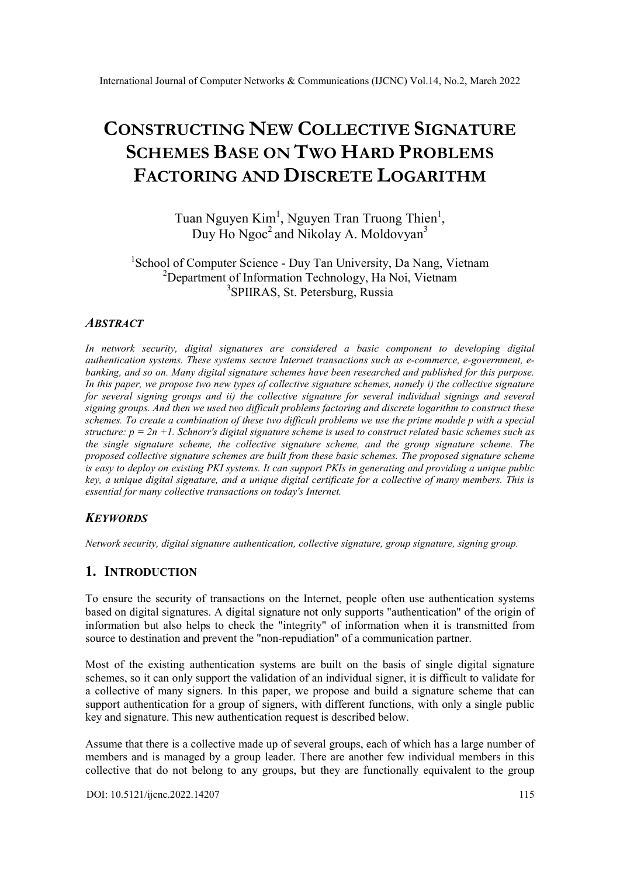# CONSTRUCTING NEW COLLECTIVE SIGNATURE SCHEMES BASE ON TWO HARD PROBLEMS FACTORING AND DISCRETE LOGARITHM

Tuan Nguyen Kim<sup>1</sup>, Nguyen Tran Truong Thien<sup>1</sup>, Duy Ho Ngoc<sup>2</sup> and Nikolay A. Moldovyan<sup>3</sup>

# <sup>1</sup>School of Computer Science - Duy Tan University, Da Nang, Vietnam <sup>2</sup>Department of Information Technology, Ha Noi, Vietnam <sup>3</sup>SPIIRAS, St. Petersburg, Russia

## **ABSTRACT**

In network security, digital signatures are considered a basic component to developing digital authentication systems. These systems secure Internet transactions such as e-commerce, e-government, ebanking, and so on. Many digital signature schemes have been researched and published for this purpose. In this paper, we propose two new types of collective signature schemes, namely i) the collective signature for several signing groups and ii) the collective signature for several individual signings and several signing groups. And then we used two difficult problems factoring and discrete logarithm to construct these schemes. To create a combination of these two difficult problems we use the prime module p with a special structure:  $p = 2n + 1$ . Schnorr's digital signature scheme is used to construct related basic schemes such as the single signature scheme, the collective signature scheme, and the group signature scheme. The proposed collective signature schemes are built from these basic schemes. The proposed signature scheme is easy to deploy on existing PKI systems. It can support PKIs in generating and providing a unique public key, a unique digital signature, and a unique digital certificate for a collective of many members. This is essential for many collective transactions on today's Internet.

# **KEYWORDS**

Network security, digital signature authentication, collective signature, group signature, signing group.

# 1. INTRODUCTION

To ensure the security of transactions on the Internet, people often use authentication systems based on digital signatures. A digital signature not only supports "authentication" of the origin of information but also helps to check the "integrity" of information when it is transmitted from source to destination and prevent the "non-repudiation" of a communication partner.

Most of the existing authentication systems are built on the basis of single digital signature schemes, so it can only support the validation of an individual signer, it is difficult to validate for a collective of many signers. In this paper, we propose and build a signature scheme that can support authentication for a group of signers, with different functions, with only a single public key and signature. This new authentication request is described below.

Assume that there is a collective made up of several groups, each of which has a large number of members and is managed by a group leader. There are another few individual members in this collective that do not belong to any groups, but they are functionally equivalent to the group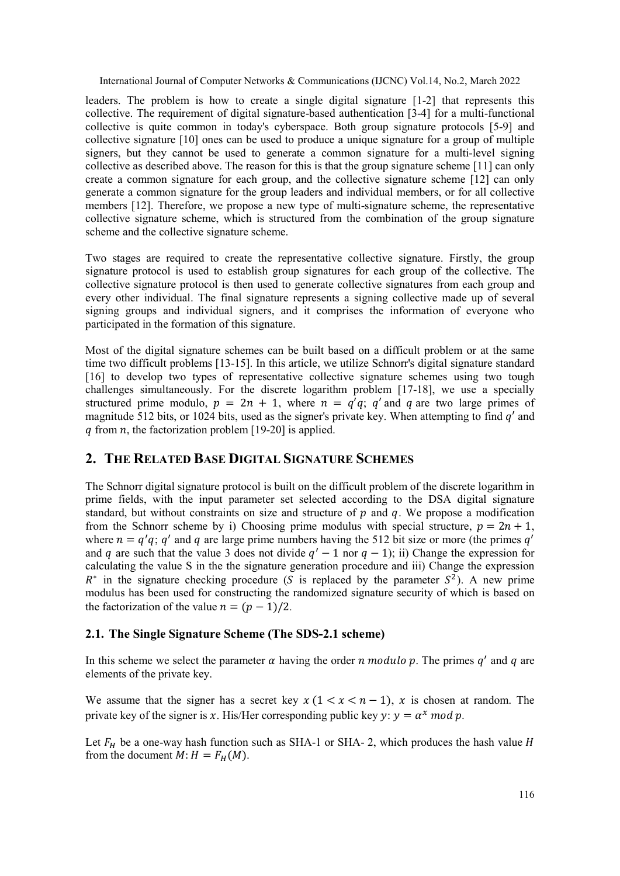leaders. The problem is how to create a single digital signature [1-2] that represents this collective. The requirement of digital signature-based authentication [3-4] for a multi-functional collective is quite common in today's cyberspace. Both group signature protocols [5-9] and collective signature [10] ones can be used to produce a unique signature for a group of multiple signers, but they cannot be used to generate a common signature for a multi-level signing collective as described above. The reason for this is that the group signature scheme [11] can only create a common signature for each group, and the collective signature scheme [12] can only generate a common signature for the group leaders and individual members, or for all collective members [12]. Therefore, we propose a new type of multi-signature scheme, the representative collective signature scheme, which is structured from the combination of the group signature scheme and the collective signature scheme.

Two stages are required to create the representative collective signature. Firstly, the group signature protocol is used to establish group signatures for each group of the collective. The collective signature protocol is then used to generate collective signatures from each group and every other individual. The final signature represents a signing collective made up of several signing groups and individual signers, and it comprises the information of everyone who participated in the formation of this signature.

Most of the digital signature schemes can be built based on a difficult problem or at the same time two difficult problems [13-15]. In this article, we utilize Schnorr's digital signature standard [16] to develop two types of representative collective signature schemes using two tough challenges simultaneously. For the discrete logarithm problem [17-18], we use a specially structured prime modulo,  $p = 2n + 1$ , where  $n = q'q$ ; q' and q are two large primes of magnitude 512 bits, or 1024 bits, used as the signer's private key. When attempting to find  $q'$  and q from  $n$ , the factorization problem [19-20] is applied.

# 2. THE RELATED BASE DIGITAL SIGNATURE SCHEMES

The Schnorr digital signature protocol is built on the difficult problem of the discrete logarithm in prime fields, with the input parameter set selected according to the DSA digital signature standard, but without constraints on size and structure of  $p$  and  $q$ . We propose a modification from the Schnorr scheme by i) Choosing prime modulus with special structure,  $p = 2n + 1$ , where  $n = q'q$ ; q' and q are large prime numbers having the 512 bit size or more (the primes q' and q are such that the value 3 does not divide  $q' - 1$  nor  $q - 1$ ); ii) Change the expression for calculating the value S in the the signature generation procedure and iii) Change the expression  $R^*$  in the signature checking procedure (S is replaced by the parameter  $S^2$ ). A new prime modulus has been used for constructing the randomized signature security of which is based on the factorization of the value  $n = (p - 1)/2$ .

# 2.1. The Single Signature Scheme (The SDS-2.1 scheme)

In this scheme we select the parameter  $\alpha$  having the order  $n \text{ modulo } p$ . The primes  $q'$  and  $q$  are elements of the private key.

We assume that the signer has a secret key  $x (1 < x < n - 1)$ , x is chosen at random. The private key of the signer is x. His/Her corresponding public key  $y: y = \alpha^x \mod p$ .

Let  $F_H$  be a one-way hash function such as SHA-1 or SHA- 2, which produces the hash value H from the document  $M: H = F_H(M)$ .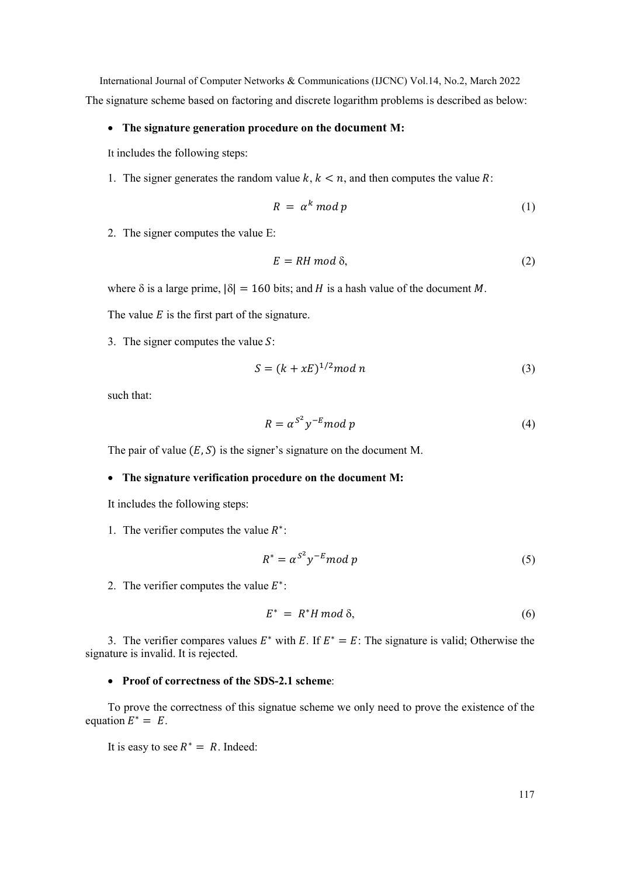International Journal of Computer Networks & Communications (IJCNC) Vol.14, No.2, March 2022 The signature scheme based on factoring and discrete logarithm problems is described as below:

#### The signature generation procedure on the document M:

It includes the following steps:

1. The signer generates the random value  $k, k < n$ , and then computes the value R:

$$
R = \alpha^k \bmod p \tag{1}
$$

2. The signer computes the value E:

$$
E = RH \mod \delta,\tag{2}
$$

where  $\delta$  is a large prime,  $|\delta| = 160$  bits; and H is a hash value of the document M.

The value  $E$  is the first part of the signature.

3. The signer computes the value  $S$ :

$$
S = (k + xE)^{1/2} \mod n \tag{3}
$$

such that:

$$
R = \alpha^{S^2} y^{-E} \mod p \tag{4}
$$

The pair of value  $(E, S)$  is the signer's signature on the document M.

# • The signature verification procedure on the document M:

It includes the following steps:

1. The verifier computes the value  $R^*$ :

$$
R^* = \alpha^{S^2} y^{-E} \mod p \tag{5}
$$

2. The verifier computes the value  $E^*$ :

$$
E^* = R^*H \mod \delta, \tag{6}
$$

3. The verifier compares values  $E^*$  with E. If  $E^* = E$ : The signature is valid; Otherwise the signature is invalid. It is rejected.

# • Proof of correctness of the SDS-2.1 scheme:

To prove the correctness of this signatue scheme we only need to prove the existence of the equation  $E^* = E$ .

It is easy to see  $R^* = R$ . Indeed: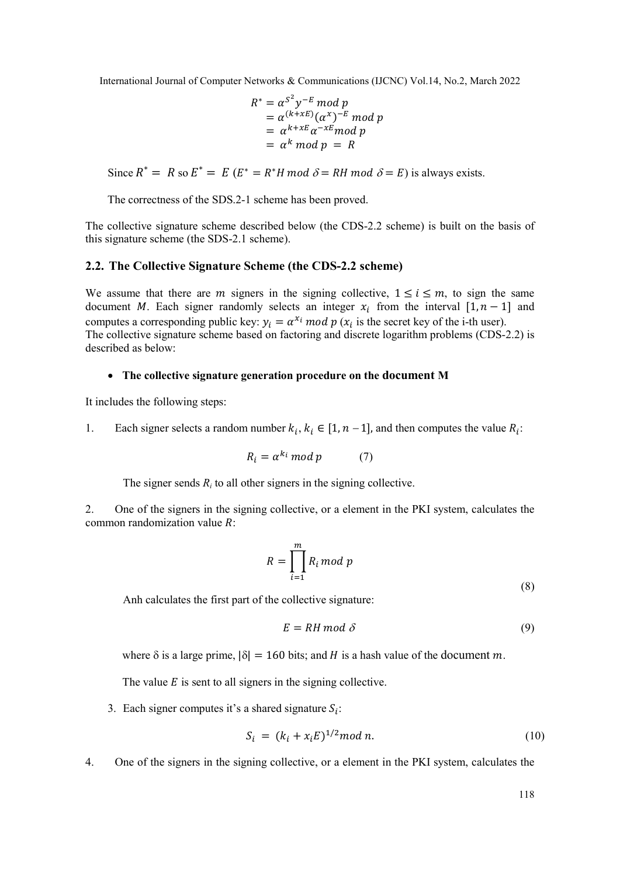$$
R^* = \alpha^{S^2} y^{-E} \mod p
$$
  
=  $\alpha^{(k+xE)} (\alpha^x)^{-E} \mod p$   
=  $\alpha^{k+xE} \alpha^{-xE} \mod p$   
=  $\alpha^k \mod p = R$ 

Since  $R^* = R$  so  $E^* = E$   $(E^* = R^*H \mod \delta = RH \mod \delta = E)$  is always exists.

The correctness of the SDS.2-1 scheme has been proved.

The collective signature scheme described below (the CDS-2.2 scheme) is built on the basis of this signature scheme (the SDS-2.1 scheme).

## 2.2. The Collective Signature Scheme (the CDS-2.2 scheme)

We assume that there are *m* signers in the signing collective,  $1 \le i \le m$ , to sign the same document *M*. Each signer randomly selects an integer  $x_i$  from the interval  $[1, n - 1]$  and computes a corresponding public key:  $y_i = \alpha^{x_i} \mod p$  ( $x_i$  is the secret key of the i-th user). The collective signature scheme based on factoring and discrete logarithm problems (CDS-2.2) is described as below:

#### The collective signature generation procedure on the document M

It includes the following steps:

1. Each signer selects a random number  $k_i$ ,  $k_i \in [1, n-1]$ , and then computes the value  $R_i$ :

$$
R_i = \alpha^{k_i} \bmod p \tag{7}
$$

The signer sends  $R_i$  to all other signers in the signing collective.

2. One of the signers in the signing collective, or a element in the PKI system, calculates the common randomization value  $R$ :

$$
R = \prod_{i=1}^{m} R_i \bmod p
$$
\n(8)

Anh calculates the first part of the collective signature:

$$
E = RH \mod \delta \tag{9}
$$

where  $\delta$  is a large prime,  $|\delta| = 160$  bits; and H is a hash value of the document m.

The value  $E$  is sent to all signers in the signing collective.

3. Each signer computes it's a shared signature  $S_i$ :

$$
S_i = (k_i + x_i E)^{1/2} \mod n. \tag{10}
$$

4. One of the signers in the signing collective, or a element in the PKI system, calculates the

118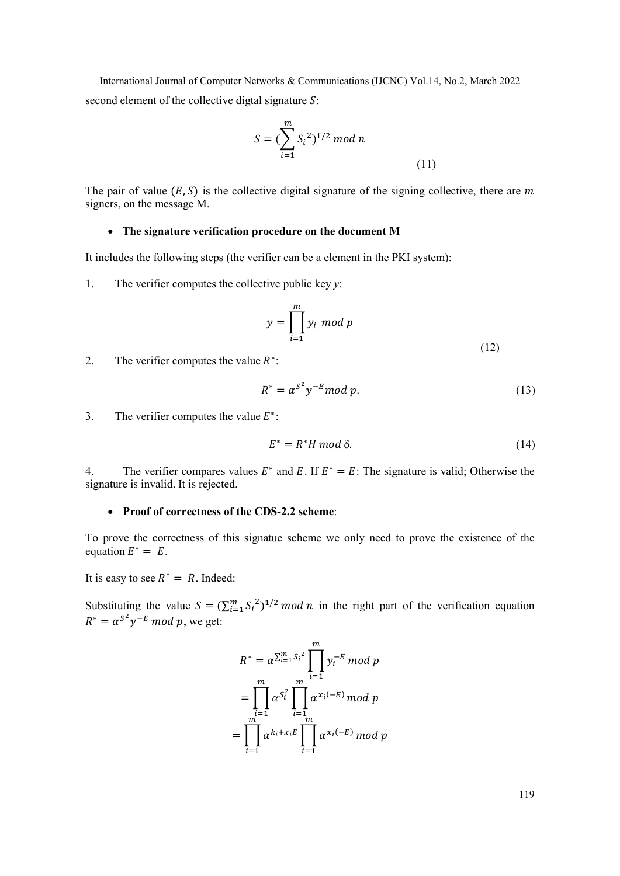International Journal of Computer Networks & Communications (IJCNC) Vol.14, No.2, March 2022 second element of the collective digtal signature  $S$ :

$$
S = (\sum_{i=1}^{m} S_i^2)^{1/2} \mod n
$$
\n(11)

The pair of value  $(E, S)$  is the collective digital signature of the signing collective, there are m signers, on the message M.

#### The signature verification procedure on the document M

It includes the following steps (the verifier can be a element in the PKI system):

1. The verifier computes the collective public key  $y$ :

$$
y = \prod_{i=1}^{m} y_i \mod p
$$
\n(12)

2. The verifier computes the value  $R^*$ :

$$
R^* = \alpha^{S^2} y^{-E} \mod p. \tag{13}
$$

3. The verifier computes the value  $E^*$ :

$$
E^* = R^* H \bmod \delta. \tag{14}
$$

4. The verifier compares values  $E^*$  and E. If  $E^* = E$ : The signature is valid; Otherwise the signature is invalid. It is rejected.

#### • Proof of correctness of the CDS-2.2 scheme:

To prove the correctness of this signatue scheme we only need to prove the existence of the equation  $E^* = E$ .

It is easy to see  $R^* = R$ . Indeed:

Substituting the value  $S = (\sum_{i=1}^{m} S_i^2)^{1/2} \mod n$  in the right part of the verification equation  $R^* = \alpha^{S^2} y^{-E} \mod p$ , we get:

$$
R^* = \alpha^{\sum_{i=1}^m S_i^2} \prod_{i=1}^m y_i^{-E} \mod p
$$
  
= 
$$
\prod_{i=1}^m \alpha^{S_i^2} \prod_{i=1}^m \alpha^{x_i(-E)} \mod p
$$
  
= 
$$
\prod_{i=1}^m \alpha^{k_i + x_i E} \prod_{i=1}^m \alpha^{x_i(-E)} \mod p
$$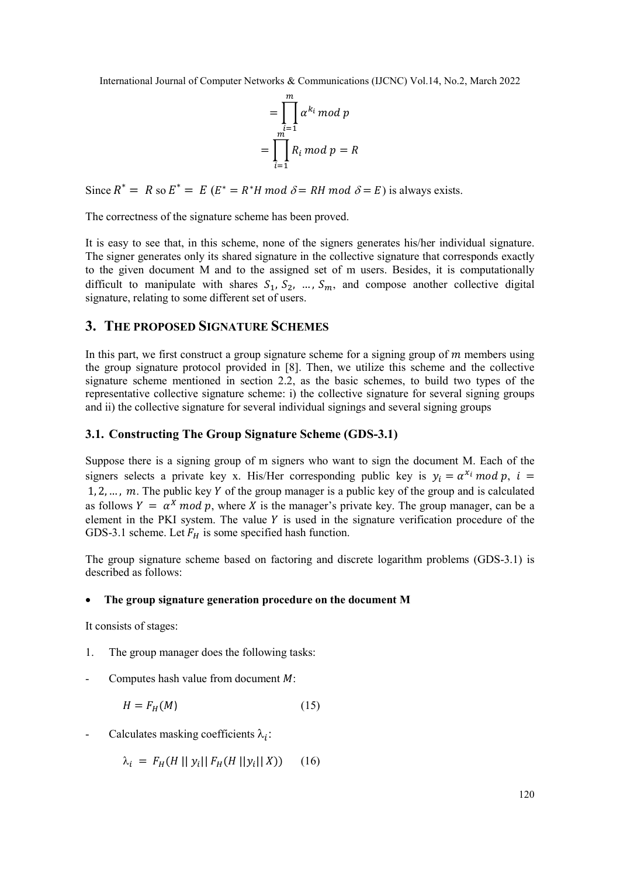$$
= \prod_{i=1}^{m} \alpha^{k_i} \mod p
$$

$$
= \prod_{i=1}^{m} R_i \mod p = R
$$

Since  $R^* = R$  so  $E^* = E$   $(E^* = R^*H \mod \delta = RH \mod \delta = E)$  is always exists.

The correctness of the signature scheme has been proved.

It is easy to see that, in this scheme, none of the signers generates his/her individual signature. The signer generates only its shared signature in the collective signature that corresponds exactly to the given document M and to the assigned set of m users. Besides, it is computationally difficult to manipulate with shares  $S_1$ ,  $S_2$ , ...,  $S_m$ , and compose another collective digital signature, relating to some different set of users.

# 3. THE PROPOSED SIGNATURE SCHEMES

In this part, we first construct a group signature scheme for a signing group of  $m$  members using the group signature protocol provided in [8]. Then, we utilize this scheme and the collective signature scheme mentioned in section 2.2, as the basic schemes, to build two types of the representative collective signature scheme: i) the collective signature for several signing groups and ii) the collective signature for several individual signings and several signing groups

# 3.1. Constructing The Group Signature Scheme (GDS-3.1)

Suppose there is a signing group of m signers who want to sign the document M. Each of the signers selects a private key x. His/Her corresponding public key is  $y_i = a^{x_i} \mod p$ ,  $i =$ 1, 2, ...,  $m$ . The public key Y of the group manager is a public key of the group and is calculated as follows  $Y = \alpha^X \mod p$ , where X is the manager's private key. The group manager, can be a element in the PKI system. The value  $Y$  is used in the signature verification procedure of the GDS-3.1 scheme. Let  $F_H$  is some specified hash function.

The group signature scheme based on factoring and discrete logarithm problems (GDS-3.1) is described as follows:

## The group signature generation procedure on the document M

It consists of stages:

- 1. The group manager does the following tasks:
- Computes hash value from document  $M$ :

$$
H = F_H(M) \tag{15}
$$

- Calculates masking coefficients  $\lambda_i$ :

 $\lambda_i = F_H(H || y_i || F_H(H || y_i || X))$  (16)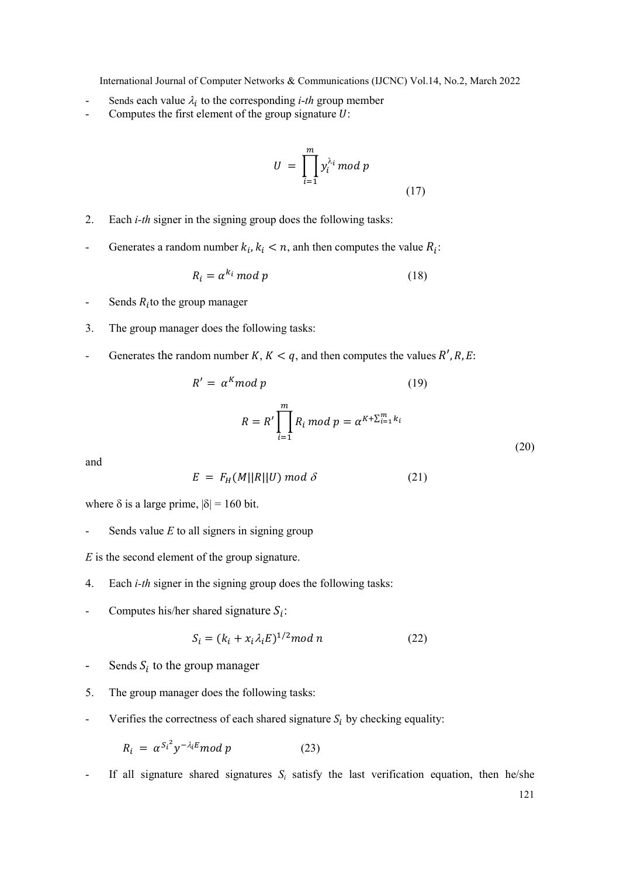- Sends each value  $\lambda_i$  to the corresponding *i-th* group member
- Computes the first element of the group signature  $U$ :

$$
U = \prod_{i=1}^{m} y_i^{\lambda_i} \mod p \tag{17}
$$

- 2. Each i-th signer in the signing group does the following tasks:
- Generates a random number  $k_i, k_i < n$ , anh then computes the value  $R_i$ :

$$
R_i = \alpha^{k_i} \bmod p \tag{18}
$$

- Sends  $R_i$ to the group manager
- 3. The group manager does the following tasks:
- Generates the random number  $K, K < q$ , and then computes the values  $R', R, E$ :

$$
R' = \alpha^{K} \mod p \tag{19}
$$
\n
$$
R = R' \prod_{i=1}^{m} R_i \mod p = \alpha^{K + \sum_{i=1}^{m} k_i} \tag{20}
$$

and

$$
E = F_H(M||R||U) \bmod \delta \tag{21}
$$

where  $\delta$  is a large prime,  $|\delta| = 160$  bit.

Sends value  $E$  to all signers in signing group

 $E$  is the second element of the group signature.

- 4. Each i-th signer in the signing group does the following tasks:
- Computes his/her shared signature  $S_i$ :

$$
S_i = (k_i + x_i \lambda_i E)^{1/2} \mod n \tag{22}
$$

- Sends  $S_i$  to the group manager
- 5. The group manager does the following tasks:
- Verifies the correctness of each shared signature  $S_i$  by checking equality:

$$
R_i = \alpha^{S_i^2} y^{-\lambda_i E} \bmod p \tag{23}
$$

If all signature shared signatures  $S_i$  satisfy the last verification equation, then he/she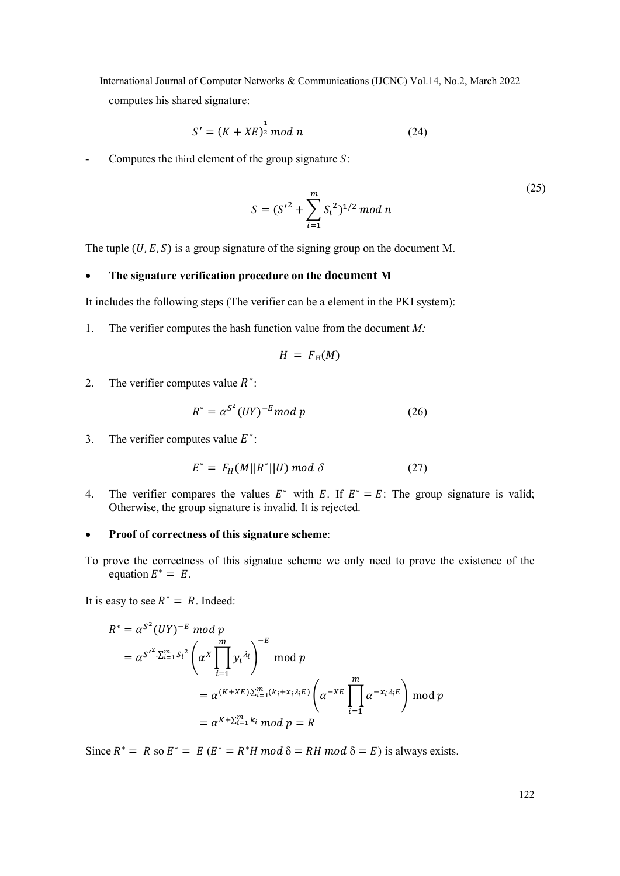International Journal of Computer Networks & Communications (IJCNC) Vol.14, No.2, March 2022 computes his shared signature:

$$
S' = (K + XE)^{\frac{1}{2}} \mod n \tag{24}
$$

Computes the third element of the group signature  $S$ :

$$
S = (S'^2 + \sum_{i=1}^{m} S_i^2)^{1/2} \mod n
$$
\n(25)

The tuple  $(U, E, S)$  is a group signature of the signing group on the document M.

# The signature verification procedure on the document M

It includes the following steps (The verifier can be a element in the PKI system):

1. The verifier computes the hash function value from the document  $M$ :

$$
H = F_{\rm H}(M)
$$

2. The verifier computes value  $R^*$ :

$$
R^* = \alpha^{S^2} (UY)^{-E} \mod p \tag{26}
$$

3. The verifier computes value  $E^*$ :

$$
E^* = F_H(M||R^*||U) \bmod \delta \tag{27}
$$

4. The verifier compares the values  $E^*$  with E. If  $E^* = E$ : The group signature is valid; Otherwise, the group signature is invalid. It is rejected.

## • Proof of correctness of this signature scheme:

To prove the correctness of this signatue scheme we only need to prove the existence of the equation  $E^* = E$ .

It is easy to see  $R^* = R$ . Indeed:

$$
R^* = \alpha^{S^2} (UY)^{-E} \mod p
$$
  
=  $\alpha^{S'^2 \cdot \sum_{i=1}^m S_i^2} \left( \alpha^X \prod_{i=1}^m y_i^{\lambda_i} \right)^{-E} \mod p$   
=  $\alpha^{(K+XE) \cdot \sum_{i=1}^m (k_i + x_i \lambda_i E)} \left( \alpha^{-XE} \prod_{i=1}^m \alpha^{-x_i \lambda_i E} \right) \mod p$   
=  $\alpha^{K + \sum_{i=1}^m k_i} \mod p = R$ 

Since  $R^* = R$  so  $E^* = E$   $(E^* = R^*H \mod \delta = RH \mod \delta = E)$  is always exists.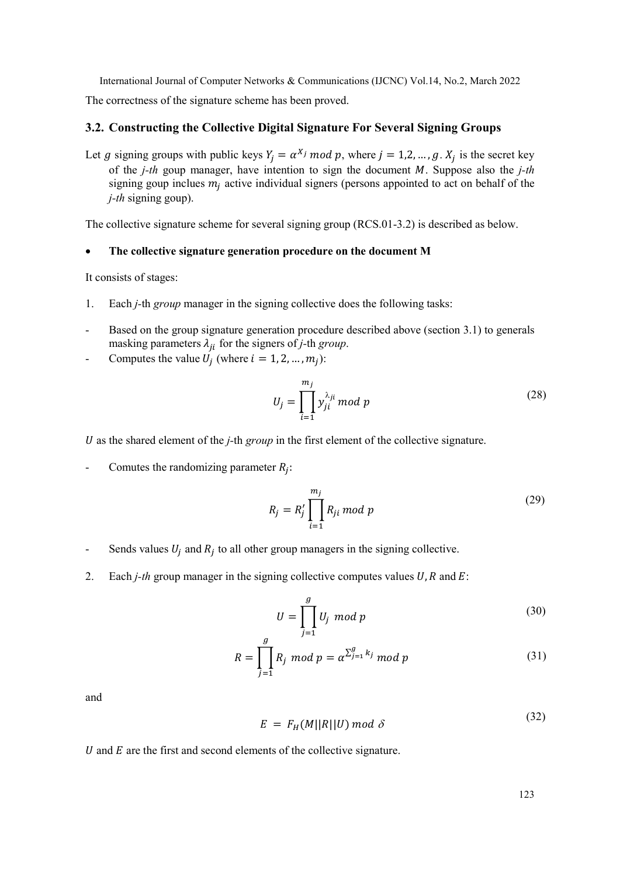The correctness of the signature scheme has been proved.

# 3.2. Constructing the Collective Digital Signature For Several Signing Groups

Let g signing groups with public keys  $Y_j = \alpha^{X_j} \mod p$ , where  $j = 1, 2, ..., g$ .  $X_j$  is the secret key of the *j*-th goup manager, have intention to sign the document  $M$ . Suppose also the *j*-th signing goup inclues  $m_j$  active individual signers (persons appointed to act on behalf of the  $j$ -th signing goup).

The collective signature scheme for several signing group (RCS.01-3.2) is described as below.

#### The collective signature generation procedure on the document M

It consists of stages:

- 1. Each j-th group manager in the signing collective does the following tasks:
- Based on the group signature generation procedure described above (section 3.1) to generals masking parameters  $\lambda_{ji}$  for the signers of *j*-th group.
- Computes the value  $U_j$  (where  $i = 1, 2, ..., m_j$ ):

$$
U_j = \prod_{i=1}^{m_j} y_{ji}^{\lambda_{ji}} \mod p \tag{28}
$$

U as the shared element of the  $i$ -th group in the first element of the collective signature.

- Comutes the randomizing parameter  $R_j$ :

$$
R_j = R'_j \prod_{i=1}^{m_j} R_{ji} \bmod p
$$
 (29)

- Sends values  $U_j$  and  $R_j$  to all other group managers in the signing collective.
- 2. Each *j-th* group manager in the signing collective computes values  $U, R$  and  $E$ :

$$
U = \prod_{j=1}^{g} U_j \mod p \tag{30}
$$

$$
R = \prod_{j=1}^{g} R_j \mod p = \alpha^{\sum_{j=1}^{g} k_j} \mod p \tag{31}
$$

and

$$
E = F_H(M||R||U) \bmod \delta \tag{32}
$$

 $U$  and  $E$  are the first and second elements of the collective signature.

123

 $(22)$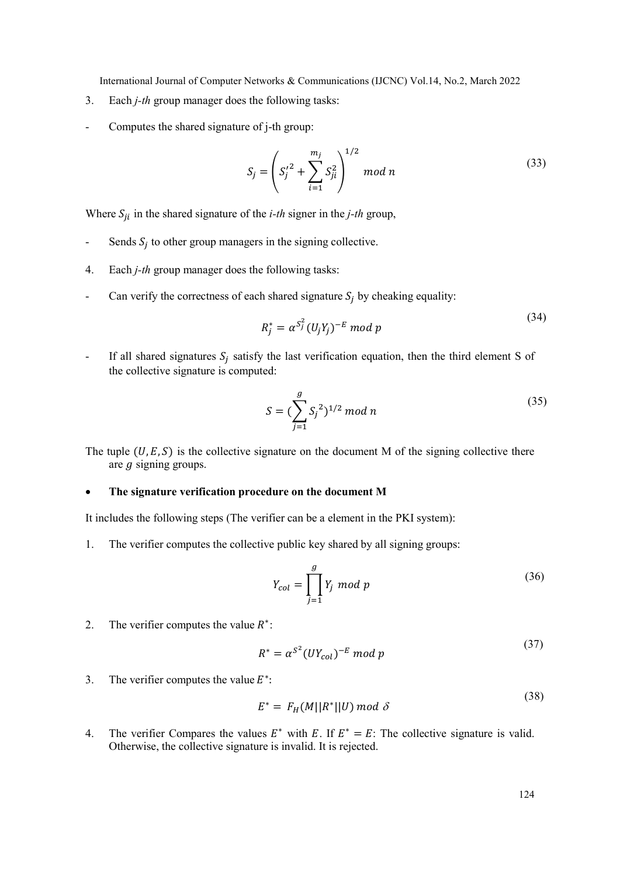- 3. Each j-th group manager does the following tasks:
- Computes the shared signature of j-th group:

$$
S_j = \left( S_j'^2 + \sum_{i=1}^{m_j} S_{ji}^2 \right)^{1/2} \mod n \tag{33}
$$

Where  $S_{ji}$  in the shared signature of the *i-th* signer in the *j-th* group,

- Sends  $S_j$  to other group managers in the signing collective.
- 4. Each j-th group manager does the following tasks:
- Can verify the correctness of each shared signature  $S_j$  by cheaking equality:

$$
R_j^* = \alpha^{S_j^2} (U_j Y_j)^{-E} \bmod p
$$
\n<sup>(34)</sup>

- If all shared signatures  $S_j$  satisfy the last verification equation, then the third element S of the collective signature is computed:

$$
S = (\sum_{j=1}^{g} S_j^2)^{1/2} \mod n
$$
 (35)

The tuple  $(U, E, S)$  is the collective signature on the document M of the signing collective there are  $g$  signing groups.

#### The signature verification procedure on the document M

It includes the following steps (The verifier can be a element in the PKI system):

1. The verifier computes the collective public key shared by all signing groups:

$$
Y_{col} = \prod_{j=1}^{g} Y_j \mod p \tag{36}
$$

2. The verifier computes the value  $R^*$ :

$$
R^* = \alpha^{S^2} (UY_{col})^{-E} \mod p \tag{37}
$$

3. The verifier computes the value  $E^*$ :

$$
E^* = F_H(M||R^*||U) \bmod \delta \tag{50}
$$

4. The verifier Compares the values  $E^*$  with E. If  $E^* = E$ : The collective signature is valid. Otherwise, the collective signature is invalid. It is rejected.

(38)

 $(24)$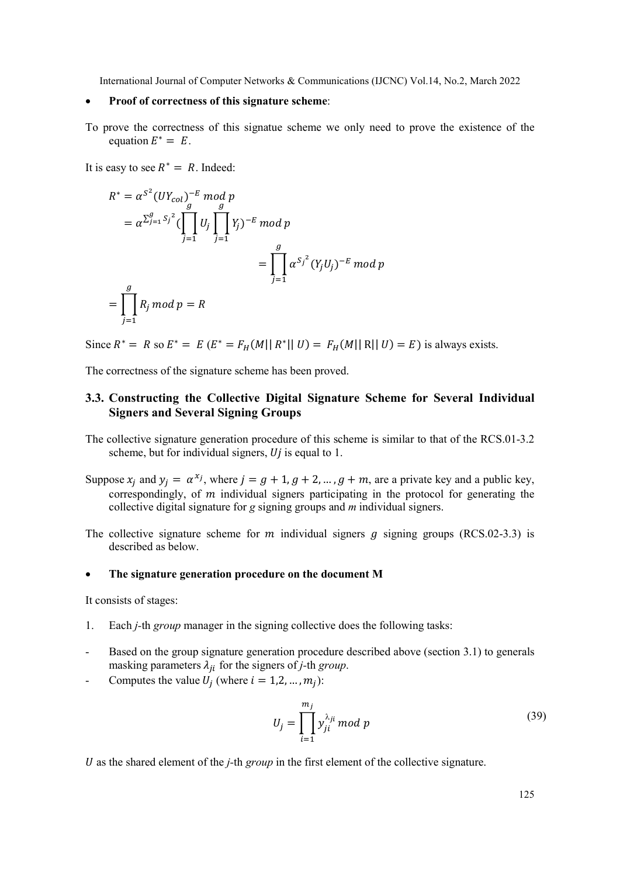#### • Proof of correctness of this signature scheme:

To prove the correctness of this signatue scheme we only need to prove the existence of the equation  $E^* = E$ .

It is easy to see  $R^* = R$ . Indeed:

$$
R^* = \alpha^{S^2} (UY_{col})^{-E} \mod p
$$
  
=  $\alpha^{\sum_{j=1}^g S_j^2} (\prod_{j=1}^g U_j \prod_{j=1}^g Y_j)^{-E} \mod p$   
=  $\prod_{j=1}^g \alpha^{S_j^2} (Y_j U_j)^{-E} \mod p$   
=  $\prod_{j=1}^g R_j \mod p = R$ 

Since  $R^* = R$  so  $E^* = E(E^* = F_H(M || R^* || U) = F_H(M || R || U) = E)$  is always exists.

The correctness of the signature scheme has been proved.

# 3.3. Constructing the Collective Digital Signature Scheme for Several Individual Signers and Several Signing Groups

- The collective signature generation procedure of this scheme is similar to that of the RCS.01-3.2 scheme, but for individual signers,  $Uj$  is equal to 1.
- Suppose  $x_j$  and  $y_j = \alpha^{x_j}$ , where  $j = g + 1, g + 2, ..., g + m$ , are a private key and a public key, correspondingly, of  *individual signers participating in the protocol for generating the* collective digital signature for g signing groups and  $m$  individual signers.
- The collective signature scheme for  $m$  individual signers  $g$  signing groups (RCS.02-3.3) is described as below.

# The signature generation procedure on the document M

It consists of stages:

- 1. Each j-th group manager in the signing collective does the following tasks:
- Based on the group signature generation procedure described above (section 3.1) to generals masking parameters  $\lambda_{ji}$  for the signers of *j*-th group.
- Computes the value  $U_j$  (where  $i = 1, 2, ..., m_j$ ):

$$
U_j = \prod_{i=1}^{m_j} y_{ji}^{\lambda_{ji}} \mod p \tag{39}
$$

 $U$  as the shared element of the *j*-th *group* in the first element of the collective signature.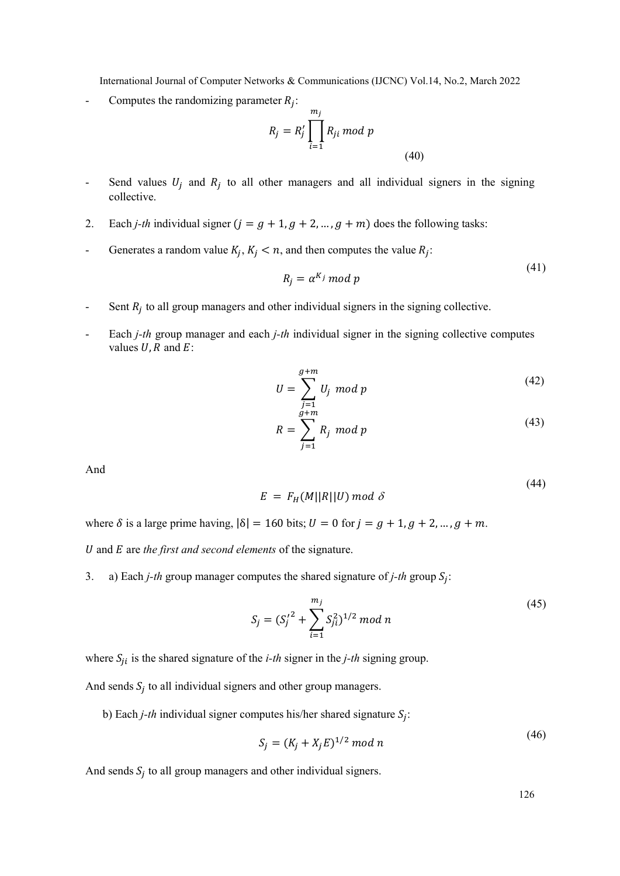- Computes the randomizing parameter  $R_j$ :

$$
R_j = R'_j \prod_{i=1}^{m_j} R_{ji} \bmod p
$$
\n(40)

- Send values  $U_j$  and  $R_j$  to all other managers and all individual signers in the signing collective.
- 2. Each *j-th* individual signer  $(j = g + 1, g + 2, ..., g + m)$  does the following tasks:
- Generates a random value  $K_j$ ,  $K_j < n$ , and then computes the value  $R_j$ :

$$
R_i = \alpha^{K_j} \bmod p \tag{41}
$$

- Sent  $R_j$  to all group managers and other individual signers in the signing collective.
- Each  $j$ -th group manager and each  $j$ -th individual signer in the signing collective computes values  $U$ ,  $R$  and  $E$ :

$$
U = \sum_{j=1}^{g+m} U_j \text{ mod } p \tag{42}
$$

$$
R = \sum_{j=1}^{g+m} R_j \text{ mod } p \tag{43}
$$

And

$$
E = F_H(M||R||U) \mod \delta \tag{44}
$$

where  $\delta$  is a large prime having,  $|\delta| = 160$  bits;  $U = 0$  for  $j = g + 1, g + 2, ..., g + m$ .

 $U$  and  $E$  are the first and second elements of the signature.

3. a) Each *j-th* group manager computes the shared signature of *j-th* group  $S_j$ :

$$
S_j = (S_j'^2 + \sum_{i=1}^{m_j} S_{ji}^2)^{1/2} \mod n
$$
\n(45)

where  $S_{ji}$  is the shared signature of the *i-th* signer in the *j-th* signing group.

And sends  $S_j$  to all individual signers and other group managers.

b) Each *j*-th individual signer computes his/her shared signature  $S_j$ :

$$
S_j = (K_j + X_j E)^{1/2} \mod n \tag{46}
$$

And sends  $S_j$  to all group managers and other individual signers.

126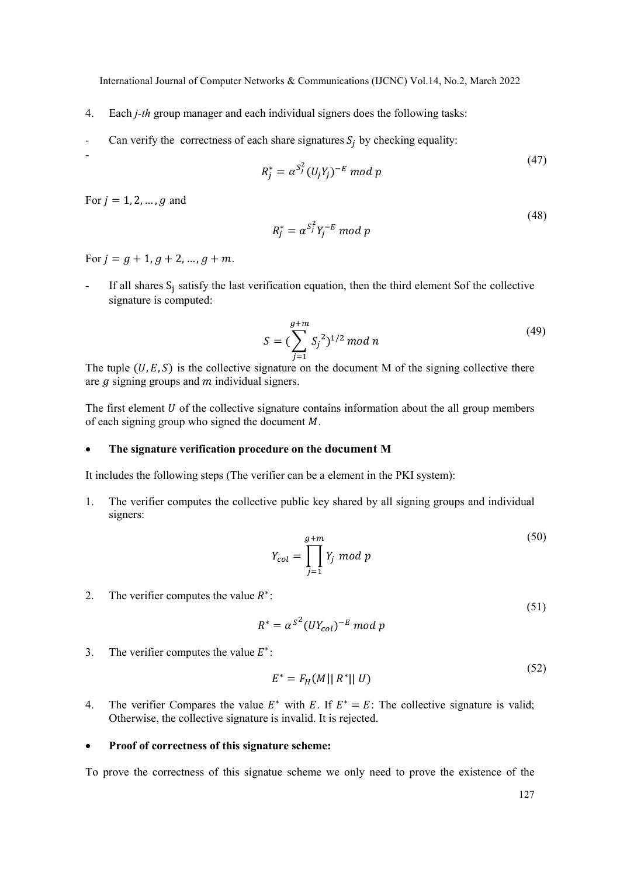- 4. Each j-th group manager and each individual signers does the following tasks:
- Can verify the correctness of each share signatures  $S_j$  by checking equality:

$$
R_j^* = \alpha^{S_j^2} (U_j Y_j)^{-E} \bmod p
$$

 $(47)$ 

(48)

For  $i = 1, 2, ..., q$  and

-

$$
R_j^* = \alpha^{S_j^2} Y_j^{-E} \bmod p
$$

For  $j = g + 1, g + 2, ..., g + m$ .

If all shares S<sub>j</sub> satisfy the last verification equation, then the third element Sof the collective signature is computed:

$$
S = (\sum_{j=1}^{g+m} S_j^2)^{1/2} \mod n
$$
 (49)

The tuple  $(U, E, S)$  is the collective signature on the document M of the signing collective there are  $g$  signing groups and  $m$  individual signers.

The first element  $U$  of the collective signature contains information about the all group members of each signing group who signed the document  $M$ .

#### The signature verification procedure on the document M

It includes the following steps (The verifier can be a element in the PKI system):

1. The verifier computes the collective public key shared by all signing groups and individual signers:

$$
Y_{col} = \prod_{j=1}^{g+m} Y_j \text{ mod } p
$$
\n<sup>(50)</sup>

2. The verifier computes the value  $R^*$ :

$$
R^* = \alpha^{S^2} (UY_{col})^{-E} \mod p
$$

3. The verifier computes the value  $E^*$ :

$$
E^* = F_H(M||R^*||U)
$$
\n(52)

4. The verifier Compares the value  $E^*$  with E. If  $E^* = E$ : The collective signature is valid; Otherwise, the collective signature is invalid. It is rejected.

## • Proof of correctness of this signature scheme:

To prove the correctness of this signatue scheme we only need to prove the existence of the

(51)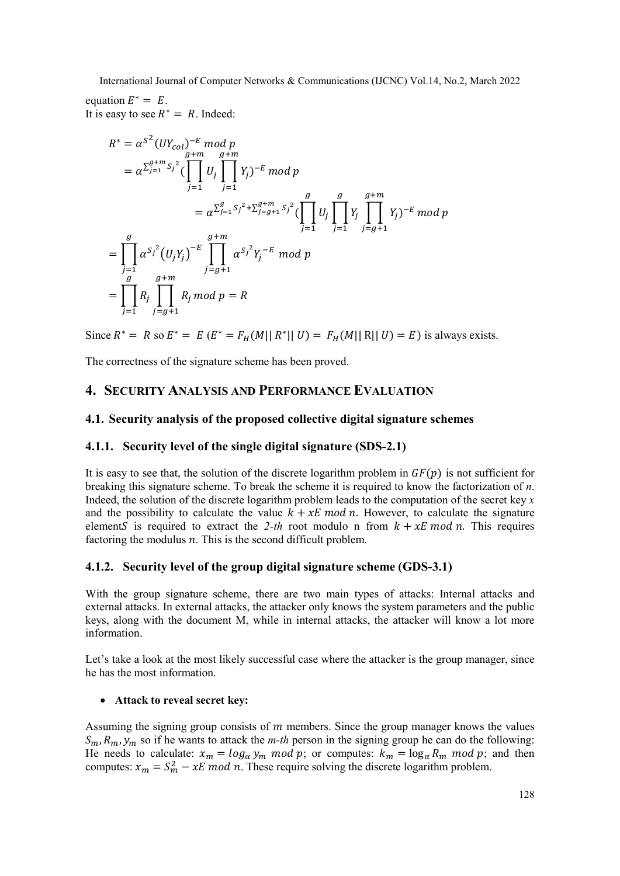equation  $E^* = E$ . It is easy to see  $R^* = R$ . Indeed:

$$
R^* = \alpha^{S^2} (UY_{col})^{-E} \mod p
$$
  
\n
$$
= \alpha^{\sum_{j=1}^{g+m} S_j^2} (\prod_{j=1}^{g+m} U_j \prod_{j=1}^{g+m} Y_j)^{-E} \mod p
$$
  
\n
$$
= \alpha^{\sum_{j=1}^{g} S_j^2 + \sum_{j=g+1}^{g+m} S_j^2} (\prod_{j=1}^{g} U_j \prod_{j=1}^{g+m} Y_j)^{-E} \mod p
$$
  
\n
$$
= \prod_{j=1}^{g} \alpha^{S_j^2} (U_j Y_j)^{-E} \prod_{j=g+1}^{g+m} \alpha^{S_j^2} Y_j^{-E} \mod p
$$
  
\n
$$
= \prod_{j=1}^{g} R_j \prod_{j=g+1}^{g+m} R_j \mod p = R
$$

Since  $R^* = R$  so  $E^* = E$   $(E^* = F_H(M || R^* || U) = F_H(M || R || U) = E)$  is always exists.

The correctness of the signature scheme has been proved.

# 4. SECURITY ANALYSIS AND PERFORMANCE EVALUATION

## 4.1. Security analysis of the proposed collective digital signature schemes

# 4.1.1. Security level of the single digital signature (SDS-2.1)

It is easy to see that, the solution of the discrete logarithm problem in  $GF(p)$  is not sufficient for breaking this signature scheme. To break the scheme it is required to know the factorization of n. Indeed, the solution of the discrete logarithm problem leads to the computation of the secret key  $x$ and the possibility to calculate the value  $k + xE \mod n$ . However, to calculate the signature elements is required to extract the 2-th root modulo n from  $k + xE \mod n$ . This requires factoring the modulus  $n$ . This is the second difficult problem.

# 4.1.2. Security level of the group digital signature scheme (GDS-3.1)

With the group signature scheme, there are two main types of attacks: Internal attacks and external attacks. In external attacks, the attacker only knows the system parameters and the public keys, along with the document M, while in internal attacks, the attacker will know a lot more information.

Let's take a look at the most likely successful case where the attacker is the group manager, since he has the most information.

## Attack to reveal secret key:

Assuming the signing group consists of  *members. Since the group manager knows the values*  $S_m$ ,  $R_m$ ,  $y_m$  so if he wants to attack the *m-th* person in the signing group he can do the following: He needs to calculate:  $x_m = log_{\alpha} y_m \text{ mod } p$ ; or computes:  $k_m = log_{\alpha} R_m \text{ mod } p$ ; and then computes:  $x_m = S_m^2 - xE \mod n$ . These require solving the discrete logarithm problem.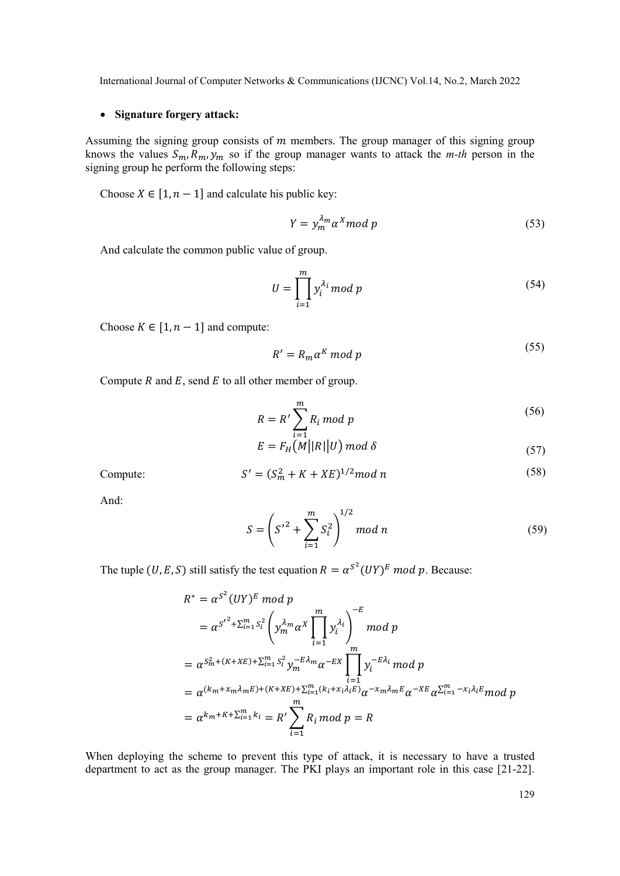# • Signature forgery attack:

Assuming the signing group consists of  *members. The group manager of this signing group* knows the values  $S_m$ ,  $R_m$ ,  $\dot{y}_m$  so if the group manager wants to attack the *m-th* person in the signing group he perform the following steps:

Choose  $X \in [1, n-1]$  and calculate his public key:

$$
Y = y_m^{\lambda_m} \alpha^X \bmod p \tag{53}
$$

And calculate the common public value of group.

$$
U = \prod_{i=1}^{m} y_i^{\lambda_i} \mod p \tag{54}
$$

Choose  $K \in [1, n-1]$  and compute:

$$
R' = R_m \alpha^K \bmod p \tag{55}
$$

Compute  $R$  and  $E$ , send  $E$  to all other member of group.

$$
R = R' \sum_{i=1}^{m} R_i \bmod p
$$
 (56)

$$
E = F_H\left(M||R||U\right) \mod \delta \tag{57}
$$

$$
S' = (S_m^2 + K + XE)^{1/2} \mod n \tag{58}
$$

And:

Compute:

$$
S = \left(S'^2 + \sum_{i=1}^{m} S_i^2\right)^{1/2} \mod n \tag{59}
$$

The tuple (U, E, S) still satisfy the test equation  $R = \alpha^{S^2}(UY)^E \mod p$ . Because:

$$
R^* = \alpha^{S^2} (UY)^E \mod p
$$
  
=  $\alpha^{S'^2 + \sum_{i=1}^m S_i^2} \left( y_m^{\lambda_m} \alpha^X \prod_{i=1}^m y_i^{\lambda_i} \right)^{-E} \mod p$   
=  $\alpha^{S_m^2 + (K + KE) + \sum_{i=1}^m S_i^2} y_m^{-E\lambda_m} \alpha^{-EX} \prod_{i=1}^m y_i^{-E\lambda_i} \mod p$   
=  $\alpha^{(k_m + x_m \lambda_m E) + (K + KE) + \sum_{i=1}^m (k_i + x_i \lambda_i E)} \alpha^{-x_m \lambda_m E} \alpha^{-X E} \alpha^{\sum_{i=1}^m -x_i \lambda_i E} \mod p$   
=  $\alpha^{k_m + K + \sum_{i=1}^m k_i} = R' \sum_{i=1}^m R_i \mod p = R$ 

When deploying the scheme to prevent this type of attack, it is necessary to have a trusted department to act as the group manager. The PKI plays an important role in this case [21-22].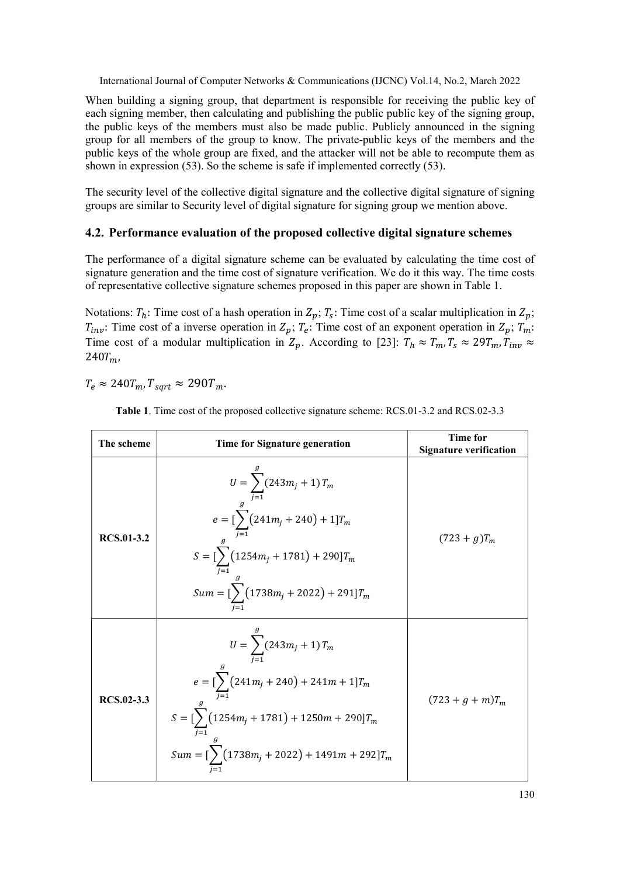When building a signing group, that department is responsible for receiving the public key of each signing member, then calculating and publishing the public public key of the signing group, the public keys of the members must also be made public. Publicly announced in the signing group for all members of the group to know. The private-public keys of the members and the public keys of the whole group are fixed, and the attacker will not be able to recompute them as shown in expression (53). So the scheme is safe if implemented correctly (53).

The security level of the collective digital signature and the collective digital signature of signing groups are similar to Security level of digital signature for signing group we mention above.

# 4.2. Performance evaluation of the proposed collective digital signature schemes

The performance of a digital signature scheme can be evaluated by calculating the time cost of signature generation and the time cost of signature verification. We do it this way. The time costs of representative collective signature schemes proposed in this paper are shown in Table 1.

Notations:  $T_h$ : Time cost of a hash operation in  $Z_p$ ;  $T_s$ : Time cost of a scalar multiplication in  $Z_p$ ;  $T_{inv}$ : Time cost of a inverse operation in  $Z_p$ ;  $T_e$ : Time cost of an exponent operation in  $Z_p$ ;  $T_m$ : Time cost of a modular multiplication in  $Z_p$ . According to [23]:  $T_h \approx T_m$ ,  $T_s \approx 29T_m$ ,  $T_{inv} \approx$  $240T_m$ 

 $T_e \approx 240 T_m$ ,  $T_{\text{sort}} \approx 290 T_m$ .

| The scheme        | <b>Time for Signature generation</b>                                                                                                                                                                                      | Time for<br><b>Signature verification</b> |
|-------------------|---------------------------------------------------------------------------------------------------------------------------------------------------------------------------------------------------------------------------|-------------------------------------------|
| <b>RCS.01-3.2</b> | $U = \sum_{j=1}^{6} (243m_j + 1) T_m$<br>$e = \left[ \sum_{j=1}^{g} (241m_j + 240) + 1 \right] T_m$<br>$S = [\sum_{j=1} (1254m_j + 1781) + 290]T_m$<br>$Sum = [\sum_{i=1} (1738m_j + 2022) + 291]T_m$                     | $(723 + g)T_m$                            |
| RCS.02-3.3        | $U = \sum_{i=1}^{n} (243m_i + 1) T_m$<br>$e = \left[\sum_{i=1}^{S} (241m_j + 240) + 241m + 1\right]T_m$<br>$S = [\sum_{i=1} (1254m_j + 1781) + 1250m + 290]T_m$<br>$Sum = [\sum_{i=1} (1738m_j + 2022) + 1491m + 292]T_m$ | $(723 + g + m)T_m$                        |

Table 1. Time cost of the proposed collective signature scheme: RCS.01-3.2 and RCS.02-3.3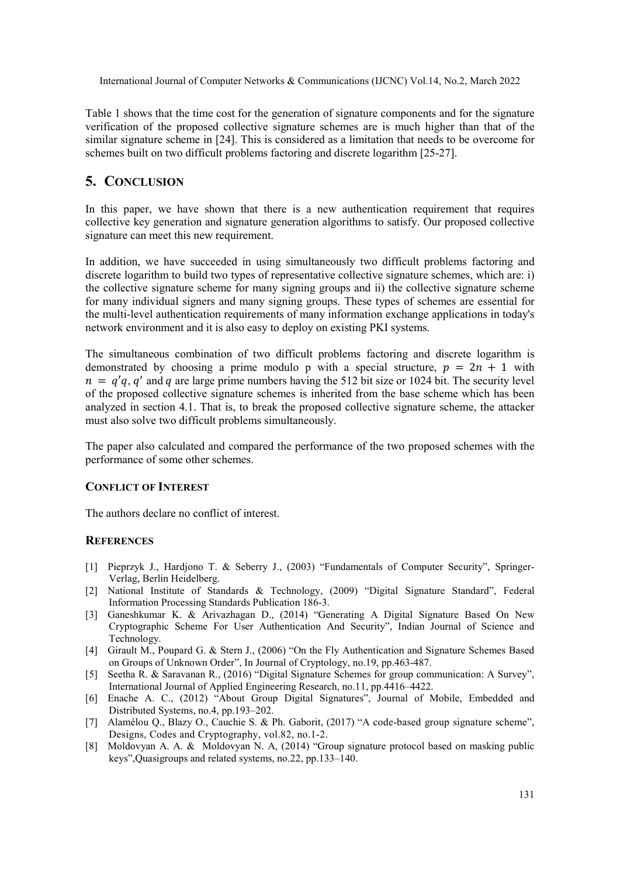Table 1 shows that the time cost for the generation of signature components and for the signature verification of the proposed collective signature schemes are is much higher than that of the similar signature scheme in [24]. This is considered as a limitation that needs to be overcome for schemes built on two difficult problems factoring and discrete logarithm [25-27].

# 5. CONCLUSION

In this paper, we have shown that there is a new authentication requirement that requires collective key generation and signature generation algorithms to satisfy. Our proposed collective signature can meet this new requirement.

In addition, we have succeeded in using simultaneously two difficult problems factoring and discrete logarithm to build two types of representative collective signature schemes, which are: i) the collective signature scheme for many signing groups and ii) the collective signature scheme for many individual signers and many signing groups. These types of schemes are essential for the multi-level authentication requirements of many information exchange applications in today's network environment and it is also easy to deploy on existing PKI systems.

The simultaneous combination of two difficult problems factoring and discrete logarithm is demonstrated by choosing a prime modulo p with a special structure,  $p = 2n + 1$  with  $n = q'q$ , q' and q are large prime numbers having the 512 bit size or 1024 bit. The security level of the proposed collective signature schemes is inherited from the base scheme which has been analyzed in section 4.1. That is, to break the proposed collective signature scheme, the attacker must also solve two difficult problems simultaneously.

The paper also calculated and compared the performance of the two proposed schemes with the performance of some other schemes.

# CONFLICT OF INTEREST

The authors declare no conflict of interest.

# **REFERENCES**

- [1] Pieprzyk J., Hardjono T. & Seberry J., (2003) "Fundamentals of Computer Security", Springer-Verlag, Berlin Heidelberg.
- [2] National Institute of Standards & Technology, (2009) "Digital Signature Standard", Federal Information Processing Standards Publication 186-3.
- [3] Ganeshkumar K. & Arivazhagan D., (2014) "Generating A Digital Signature Based On New Cryptographic Scheme For User Authentication And Security", Indian Journal of Science and Technology.
- [4] Girault M., Poupard G. & Stern J., (2006) "On the Fly Authentication and Signature Schemes Based on Groups of Unknown Order", In Journal of Cryptology, no.19, pp.463-487.
- [5] Seetha R. & Saravanan R., (2016) "Digital Signature Schemes for group communication: A Survey", International Journal of Applied Engineering Research, no.11, pp.4416–4422.
- [6] Enache A. C., (2012) "About Group Digital Signatures", Journal of Mobile, Embedded and Distributed Systems, no.4, pp.193–202.
- [7] Alamélou Q., Blazy O., Cauchie S. & Ph. Gaborit, (2017) "A code-based group signature scheme", Designs, Codes and Cryptography, vol.82, no.1-2.
- [8] Moldovyan A. A. & Moldovyan N. A, (2014) "Group signature protocol based on masking public keys",Quasigroups and related systems, no.22, pp.133–140.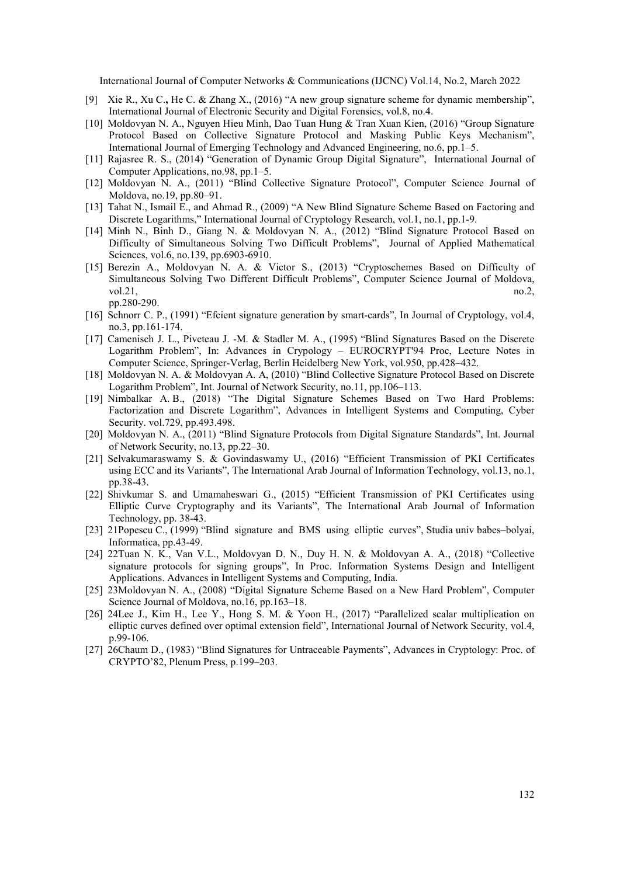- [9] Xie R., Xu C., He C. & Zhang X., (2016) "A new group signature scheme for dynamic membership", International Journal of Electronic Security and Digital Forensics, vol.8, no.4.
- [10] Moldovyan N. A., Nguyen Hieu Minh, Dao Tuan Hung & Tran Xuan Kien, (2016) "Group Signature Protocol Based on Collective Signature Protocol and Masking Public Keys Mechanism", International Journal of Emerging Technology and Advanced Engineering, no.6, pp.1–5.
- [11] Rajasree R. S., (2014) "Generation of Dynamic Group Digital Signature", International Journal of Computer Applications, no.98, pp.1–5.
- [12] Moldovyan N. A., (2011) "Blind Collective Signature Protocol", Computer Science Journal of Moldova, no.19, pp.80–91.
- [13] Tahat N., Ismail E., and Ahmad R., (2009) "A New Blind Signature Scheme Based on Factoring and Discrete Logarithms," International Journal of Cryptology Research, vol.1, no.1, pp.1-9.
- [14] Minh N., Binh D., Giang N. & Moldovyan N. A., (2012) "Blind Signature Protocol Based on Difficulty of Simultaneous Solving Two Difficult Problems", Journal of Applied Mathematical Sciences, vol.6, no.139, pp.6903-6910.
- [15] Berezin A., Moldovyan N. A. & Victor S., (2013) "Cryptoschemes Based on Difficulty of Simultaneous Solving Two Different Difficult Problems", Computer Science Journal of Moldova, vol.21,  $\qquad \qquad \text{no.2,}$ 
	- pp.280-290.
- [16] Schnorr C. P., (1991) "Efcient signature generation by smart-cards", In Journal of Cryptology, vol.4, no.3, pp.161-174.
- [17] Camenisch J. L., Piveteau J. -M. & Stadler M. A., (1995) "Blind Signatures Based on the Discrete Logarithm Problem", In: Advances in Crypology – EUROCRYPT'94 Proc, Lecture Notes in Computer Science, Springer-Verlag, Berlin Heidelberg New York, vol.950, pp.428–432.
- [18] Moldovyan N. A. & Moldovyan A. A, (2010) "Blind Collective Signature Protocol Based on Discrete Logarithm Problem", Int. Journal of Network Security, no.11, pp.106–113.
- [19] Nimbalkar A. B., (2018) "The Digital Signature Schemes Based on Two Hard Problems: Factorization and Discrete Logarithm", Advances in Intelligent Systems and Computing, Cyber Security. vol.729, pp.493.498.
- [20] Moldovyan N. A., (2011) "Blind Signature Protocols from Digital Signature Standards", Int. Journal of Network Security, no.13, pp.22–30.
- [21] Selvakumaraswamy S. & Govindaswamy U., (2016) "Efficient Transmission of PKI Certificates using ECC and its Variants", The International Arab Journal of Information Technology, vol.13, no.1, pp.38-43.
- [22] Shivkumar S. and Umamaheswari G., (2015) "Efficient Transmission of PKI Certificates using Elliptic Curve Cryptography and its Variants", The International Arab Journal of Information Technology, pp. 38-43.
- [23] 21Popescu C., (1999) "Blind signature and BMS using elliptic curves", Studia univ babes–bolyai, Informatica, pp.43-49.
- [24] 22Tuan N. K., Van V.L., Moldovyan D. N., Duy H. N. & Moldovyan A. A., (2018) "Collective signature protocols for signing groups", In Proc. Information Systems Design and Intelligent Applications. Advances in Intelligent Systems and Computing, India.
- [25] 23Moldovyan N. A., (2008) "Digital Signature Scheme Based on a New Hard Problem", Computer Science Journal of Moldova, no.16, pp.163–18.
- [26] 24Lee J., Kim H., Lee Y., Hong S. M. & Yoon H., (2017) "Parallelized scalar multiplication on elliptic curves defined over optimal extension field", International Journal of Network Security, vol.4, p.99-106.
- [27] 26Chaum D., (1983) "Blind Signatures for Untraceable Payments", Advances in Cryptology: Proc. of CRYPTO'82, Plenum Press, p.199–203.